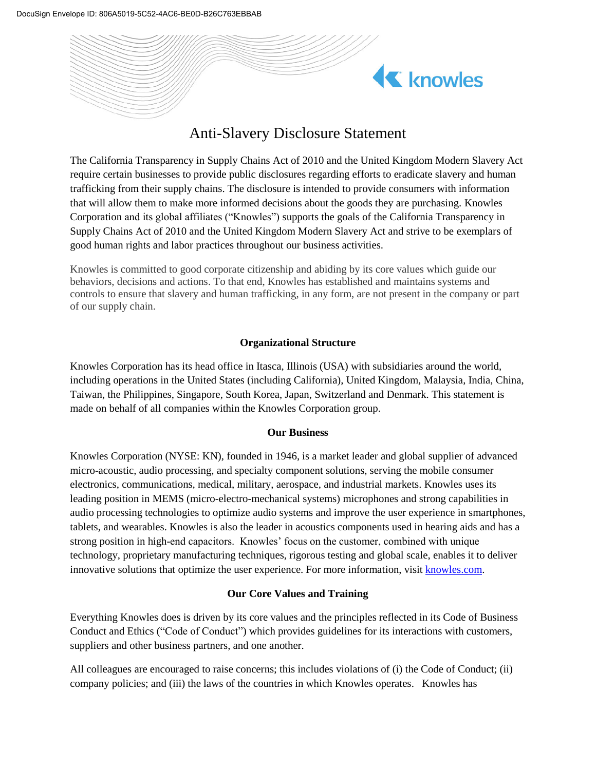

# Anti-Slavery Disclosure Statement

The California Transparency in Supply Chains Act of 2010 and the United Kingdom Modern Slavery Act require certain businesses to provide public disclosures regarding efforts to eradicate slavery and human trafficking from their supply chains. The disclosure is intended to provide consumers with information that will allow them to make more informed decisions about the goods they are purchasing. Knowles Corporation and its global affiliates ("Knowles") supports the goals of the California Transparency in Supply Chains Act of 2010 and the United Kingdom Modern Slavery Act and strive to be exemplars of good human rights and labor practices throughout our business activities.

Knowles is committed to good corporate citizenship and abiding by its core values which guide our behaviors, decisions and actions. To that end, Knowles has established and maintains systems and controls to ensure that slavery and human trafficking, in any form, are not present in the company or part of our supply chain.

# **Organizational Structure**

Knowles Corporation has its head office in Itasca, Illinois (USA) with subsidiaries around the world, including operations in the United States (including California), United Kingdom, Malaysia, India, China, Taiwan, the Philippines, Singapore, South Korea, Japan, Switzerland and Denmark. This statement is made on behalf of all companies within the Knowles Corporation group.

# **Our Business**

Knowles Corporation (NYSE: KN), founded in 1946, is a market leader and global supplier of advanced micro-acoustic, audio processing, and specialty component solutions, serving the mobile consumer electronics, communications, medical, military, aerospace, and industrial markets. Knowles uses its leading position in MEMS (micro-electro-mechanical systems) microphones and strong capabilities in audio processing technologies to optimize audio systems and improve the user experience in smartphones, tablets, and wearables. Knowles is also the leader in acoustics components used in hearing aids and has a strong position in high-end capacitors. Knowles' focus on the customer, combined with unique technology, proprietary manufacturing techniques, rigorous testing and global scale, enables it to deliver innovative solutions that optimize the user experience. For more information, visit [knowles.com.](http://knowles.com/)

# **Our Core Values and Training**

Everything Knowles does is driven by its core values and the principles reflected in its Code of Business Conduct and Ethics ("Code of Conduct") which provides guidelines for its interactions with customers, suppliers and other business partners, and one another.

All colleagues are encouraged to raise concerns; this includes violations of (i) the Code of Conduct; (ii) company policies; and (iii) the laws of the countries in which Knowles operates. Knowles has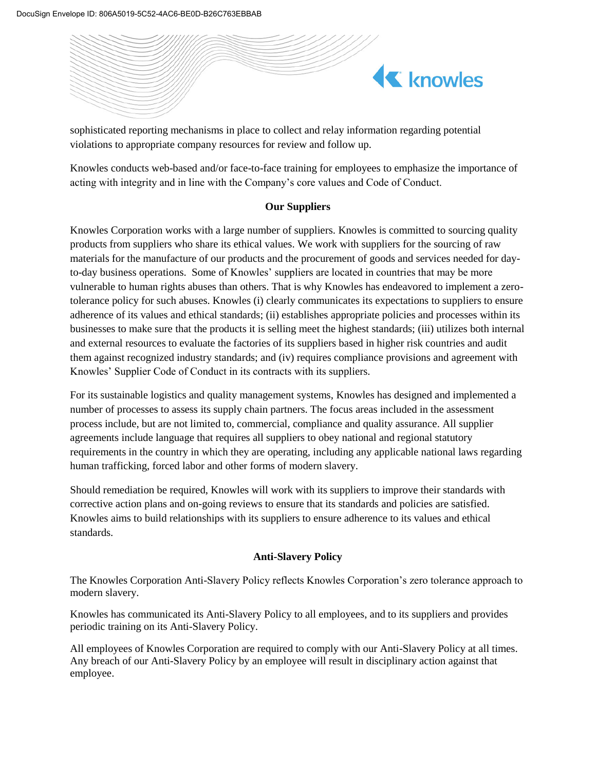

sophisticated reporting mechanisms in place to collect and relay information regarding potential violations to appropriate company resources for review and follow up.

Knowles conducts web-based and/or face-to-face training for employees to emphasize the importance of acting with integrity and in line with the Company's core values and Code of Conduct.

# **Our Suppliers**

Knowles Corporation works with a large number of suppliers. Knowles is committed to sourcing quality products from suppliers who share its ethical values. We work with suppliers for the sourcing of raw materials for the manufacture of our products and the procurement of goods and services needed for dayto-day business operations. Some of Knowles' suppliers are located in countries that may be more vulnerable to human rights abuses than others. That is why Knowles has endeavored to implement a zerotolerance policy for such abuses. Knowles (i) clearly communicates its expectations to suppliers to ensure adherence of its values and ethical standards; (ii) establishes appropriate policies and processes within its businesses to make sure that the products it is selling meet the highest standards; (iii) utilizes both internal and external resources to evaluate the factories of its suppliers based in higher risk countries and audit them against recognized industry standards; and (iv) requires compliance provisions and agreement with Knowles' Supplier Code of Conduct in its contracts with its suppliers.

For its sustainable logistics and quality management systems, Knowles has designed and implemented a number of processes to assess its supply chain partners. The focus areas included in the assessment process include, but are not limited to, commercial, compliance and quality assurance. All supplier agreements include language that requires all suppliers to obey national and regional statutory requirements in the country in which they are operating, including any applicable national laws regarding human trafficking, forced labor and other forms of modern slavery.

Should remediation be required, Knowles will work with its suppliers to improve their standards with corrective action plans and on-going reviews to ensure that its standards and policies are satisfied. Knowles aims to build relationships with its suppliers to ensure adherence to its values and ethical standards.

# **Anti-Slavery Policy**

The Knowles Corporation Anti-Slavery Policy reflects Knowles Corporation's zero tolerance approach to modern slavery.

Knowles has communicated its Anti-Slavery Policy to all employees, and to its suppliers and provides periodic training on its Anti-Slavery Policy.

All employees of Knowles Corporation are required to comply with our Anti-Slavery Policy at all times. Any breach of our Anti-Slavery Policy by an employee will result in disciplinary action against that employee.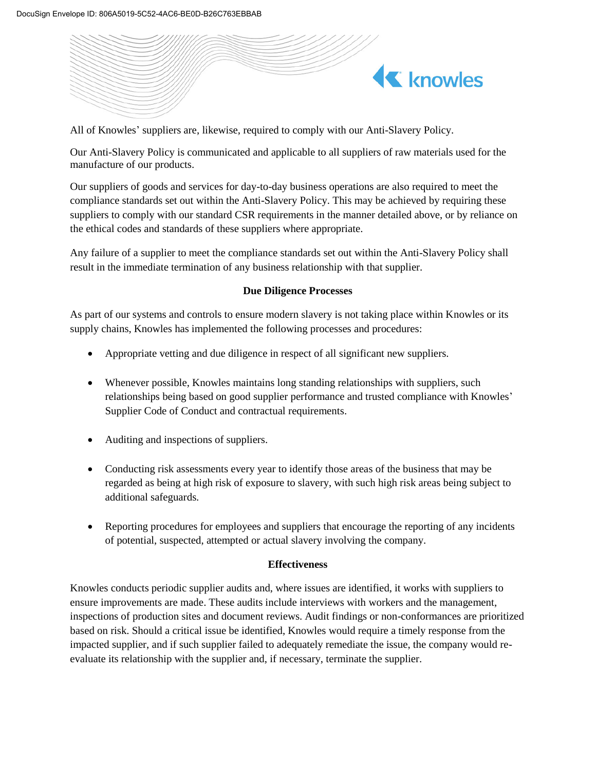

All of Knowles' suppliers are, likewise, required to comply with our Anti-Slavery Policy.

Our Anti-Slavery Policy is communicated and applicable to all suppliers of raw materials used for the manufacture of our products.

Our suppliers of goods and services for day-to-day business operations are also required to meet the compliance standards set out within the Anti-Slavery Policy. This may be achieved by requiring these suppliers to comply with our standard CSR requirements in the manner detailed above, or by reliance on the ethical codes and standards of these suppliers where appropriate.

Any failure of a supplier to meet the compliance standards set out within the Anti-Slavery Policy shall result in the immediate termination of any business relationship with that supplier.

# **Due Diligence Processes**

As part of our systems and controls to ensure modern slavery is not taking place within Knowles or its supply chains, Knowles has implemented the following processes and procedures:

- Appropriate vetting and due diligence in respect of all significant new suppliers.
- Whenever possible, Knowles maintains long standing relationships with suppliers, such relationships being based on good supplier performance and trusted compliance with Knowles' Supplier Code of Conduct and contractual requirements.
- Auditing and inspections of suppliers.
- Conducting risk assessments every year to identify those areas of the business that may be regarded as being at high risk of exposure to slavery, with such high risk areas being subject to additional safeguards.
- Reporting procedures for employees and suppliers that encourage the reporting of any incidents of potential, suspected, attempted or actual slavery involving the company.

# **Effectiveness**

Knowles conducts periodic supplier audits and, where issues are identified, it works with suppliers to ensure improvements are made. These audits include interviews with workers and the management, inspections of production sites and document reviews. Audit findings or non-conformances are prioritized based on risk. Should a critical issue be identified, Knowles would require a timely response from the impacted supplier, and if such supplier failed to adequately remediate the issue, the company would reevaluate its relationship with the supplier and, if necessary, terminate the supplier.